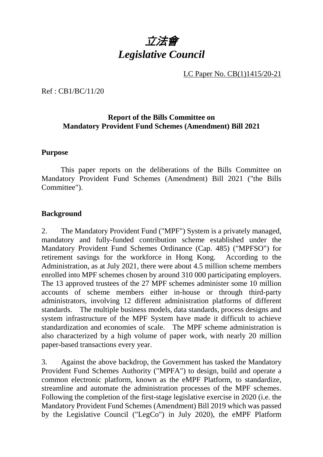

LC Paper No. CB(1)1415/20-21

Ref : CB1/BC/11/20

#### **Report of the Bills Committee on Mandatory Provident Fund Schemes (Amendment) Bill 2021**

#### **Purpose**

This paper reports on the deliberations of the Bills Committee on Mandatory Provident Fund Schemes (Amendment) Bill 2021 ("the Bills Committee").

#### **Background**

2. The Mandatory Provident Fund ("MPF") System is a privately managed, mandatory and fully-funded contribution scheme established under the Mandatory Provident Fund Schemes Ordinance (Cap. 485) ("MPFSO") for retirement savings for the workforce in Hong Kong. According to the Administration, as at July 2021, there were about 4.5 million scheme members enrolled into MPF schemes chosen by around 310 000 participating employers. The 13 approved trustees of the 27 MPF schemes administer some 10 million accounts of scheme members either in-house or through third-party administrators, involving 12 different administration platforms of different standards. The multiple business models, data standards, process designs and system infrastructure of the MPF System have made it difficult to achieve standardization and economies of scale. The MPF scheme administration is also characterized by a high volume of paper work, with nearly 20 million paper-based transactions every year.

3. Against the above backdrop, the Government has tasked the Mandatory Provident Fund Schemes Authority ("MPFA") to design, build and operate a common electronic platform, known as the eMPF Platform, to standardize, streamline and automate the administration processes of the MPF schemes. Following the completion of the first-stage legislative exercise in 2020 (i.e. the Mandatory Provident Fund Schemes (Amendment) Bill 2019 which was passed by the Legislative Council ("LegCo") in July 2020), the eMPF Platform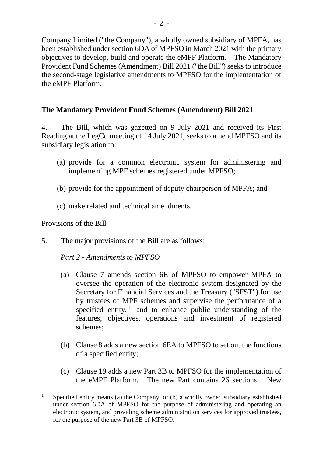Company Limited ("the Company"), a wholly owned subsidiary of MPFA, has been established under section 6DA of MPFSO in March 2021 with the primary objectives to develop, build and operate the eMPF Platform. The Mandatory Provident Fund Schemes (Amendment) Bill 2021 ("the Bill") seeks to introduce the second-stage legislative amendments to MPFSO for the implementation of the eMPF Platform.

# **The Mandatory Provident Fund Schemes (Amendment) Bill 2021**

4. The Bill, which was gazetted on 9 July 2021 and received its First Reading at the LegCo meeting of 14 July 2021, seeks to amend MPFSO and its subsidiary legislation to:

- (a) provide for a common electronic system for administering and implementing MPF schemes registered under MPFSO;
- (b) provide for the appointment of deputy chairperson of MPFA; and
- (c) make related and technical amendments.

#### Provisions of the Bill

5. The major provisions of the Bill are as follows:

#### *Part 2 - Amendments to MPFSO*

- (a) Clause 7 amends section 6E of MPFSO to empower MPFA to oversee the operation of the electronic system designated by the Secretary for Financial Services and the Treasury ("SFST") for use by trustees of MPF schemes and supervise the performance of a specified entity,  $\frac{1}{1}$  $\frac{1}{1}$  $\frac{1}{1}$  and to enhance public understanding of the features, objectives, operations and investment of registered schemes;
- (b) Clause 8 adds a new section 6EA to MPFSO to set out the functions of a specified entity;
- (c) Clause 19 adds a new Part 3B to MPFSO for the implementation of the eMPF Platform. The new Part contains 26 sections. New

<span id="page-1-0"></span><sup>&</sup>lt;sup>1</sup> Specified entity means (a) the Company; or (b) a wholly owned subsidiary established under section 6DA of MPFSO for the purpose of administering and operating an electronic system, and providing scheme administration services for approved trustees, for the purpose of the new Part 3B of MPFSO.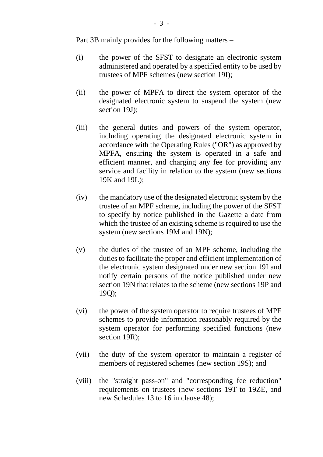Part 3B mainly provides for the following matters –

- (i) the power of the SFST to designate an electronic system administered and operated by a specified entity to be used by trustees of MPF schemes (new section 19I);
- (ii) the power of MPFA to direct the system operator of the designated electronic system to suspend the system (new section 19J);
- (iii) the general duties and powers of the system operator, including operating the designated electronic system in accordance with the Operating Rules ("OR") as approved by MPFA, ensuring the system is operated in a safe and efficient manner, and charging any fee for providing any service and facility in relation to the system (new sections 19K and 19L);
- (iv) the mandatory use of the designated electronic system by the trustee of an MPF scheme, including the power of the SFST to specify by notice published in the Gazette a date from which the trustee of an existing scheme is required to use the system (new sections 19M and 19N);
- (v) the duties of the trustee of an MPF scheme, including the duties to facilitate the proper and efficient implementation of the electronic system designated under new section 19I and notify certain persons of the notice published under new section 19N that relates to the scheme (new sections 19P and 19Q);
- (vi) the power of the system operator to require trustees of MPF schemes to provide information reasonably required by the system operator for performing specified functions (new section 19R);
- (vii) the duty of the system operator to maintain a register of members of registered schemes (new section 19S); and
- (viii) the "straight pass-on" and "corresponding fee reduction" requirements on trustees (new sections 19T to 19ZE, and new Schedules 13 to 16 in clause 48);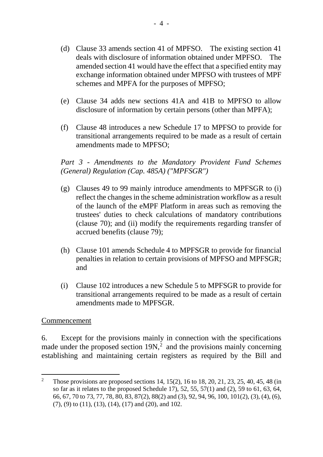- (d) Clause 33 amends section 41 of MPFSO. The existing section 41 deals with disclosure of information obtained under MPFSO. The amended section 41 would have the effect that a specified entity may exchange information obtained under MPFSO with trustees of MPF schemes and MPFA for the purposes of MPFSO;
- (e) Clause 34 adds new sections 41A and 41B to MPFSO to allow disclosure of information by certain persons (other than MPFA);
- (f) Clause 48 introduces a new Schedule 17 to MPFSO to provide for transitional arrangements required to be made as a result of certain amendments made to MPFSO;

## *Part 3 - Amendments to the Mandatory Provident Fund Schemes (General) Regulation (Cap. 485A) ("MPFSGR")*

- (g) Clauses 49 to 99 mainly introduce amendments to MPFSGR to (i) reflect the changes in the scheme administration workflow as a result of the launch of the eMPF Platform in areas such as removing the trustees' duties to check calculations of mandatory contributions (clause 70); and (ii) modify the requirements regarding transfer of accrued benefits (clause 79);
- (h) Clause 101 amends Schedule 4 to MPFSGR to provide for financial penalties in relation to certain provisions of MPFSO and MPFSGR; and
- (i) Clause 102 introduces a new Schedule 5 to MPFSGR to provide for transitional arrangements required to be made as a result of certain amendments made to MPFSGR.

#### Commencement

6. Except for the provisions mainly in connection with the specifications made under the proposed section  $19N<sub>1</sub><sup>2</sup>$  $19N<sub>1</sub><sup>2</sup>$  $19N<sub>1</sub><sup>2</sup>$  and the provisions mainly concerning establishing and maintaining certain registers as required by the Bill and

<span id="page-3-0"></span><sup>&</sup>lt;sup>2</sup> Those provisions are proposed sections 14, 15(2), 16 to 18, 20, 21, 23, 25, 40, 45, 48 (in so far as it relates to the proposed Schedule 17), 52, 55, 57(1) and (2), 59 to 61, 63, 64, 66, 67, 70 to 73, 77, 78, 80, 83, 87(2), 88(2) and (3), 92, 94, 96, 100, 101(2), (3), (4), (6), (7), (9) to (11), (13), (14), (17) and (20), and 102.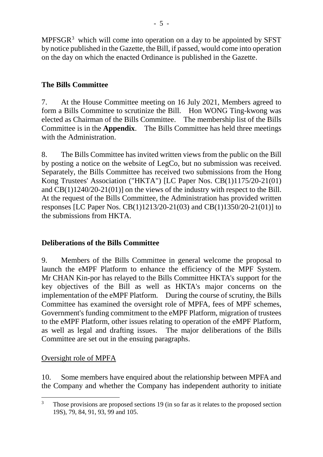MPFSGR[3](#page-4-0) which will come into operation on a day to be appointed by SFST by notice published in the Gazette, the Bill, if passed, would come into operation on the day on which the enacted Ordinance is published in the Gazette.

# **The Bills Committee**

7. At the House Committee meeting on 16 July 2021, Members agreed to form a Bills Committee to scrutinize the Bill. Hon WONG Ting-kwong was elected as Chairman of the Bills Committee. The membership list of the Bills Committee is in the **Appendix**. The Bills Committee has held three meetings with the Administration.

8. The Bills Committee has invited written views from the public on the Bill by posting a notice on the website of LegCo, but no submission was received. Separately, the Bills Committee has received two submissions from the Hong Kong Trustees' Association ("HKTA") [LC Paper Nos. CB(1)1175/20-21(01) and CB(1)1240/20-21(01)] on the views of the industry with respect to the Bill. At the request of the Bills Committee, the Administration has provided written responses [LC Paper Nos. CB(1)1213/20-21(03) and CB(1)1350/20-21(01)] to the submissions from HKTA.

# **Deliberations of the Bills Committee**

9. Members of the Bills Committee in general welcome the proposal to launch the eMPF Platform to enhance the efficiency of the MPF System. Mr CHAN Kin-por has relayed to the Bills Committee HKTA's support for the key objectives of the Bill as well as HKTA's major concerns on the implementation of the eMPF Platform. During the course of scrutiny, the Bills Committee has examined the oversight role of MPFA, fees of MPF schemes, Government's funding commitment to the eMPF Platform, migration of trustees to the eMPF Platform, other issues relating to operation of the eMPF Platform, as well as legal and drafting issues. The major deliberations of the Bills Committee are set out in the ensuing paragraphs.

# Oversight role of MPFA

10. Some members have enquired about the relationship between MPFA and the Company and whether the Company has independent authority to initiate

<span id="page-4-0"></span> $3$  Those provisions are proposed sections 19 (in so far as it relates to the proposed section 19S), 79, 84, 91, 93, 99 and 105.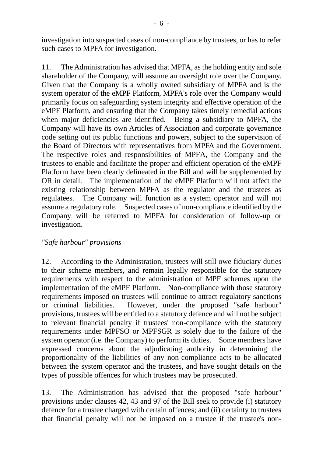investigation into suspected cases of non-compliance by trustees, or has to refer such cases to MPFA for investigation.

11. The Administration has advised that MPFA, as the holding entity and sole shareholder of the Company, will assume an oversight role over the Company. Given that the Company is a wholly owned subsidiary of MPFA and is the system operator of the eMPF Platform, MPFA's role over the Company would primarily focus on safeguarding system integrity and effective operation of the eMPF Platform, and ensuring that the Company takes timely remedial actions when major deficiencies are identified. Being a subsidiary to MPFA, the Company will have its own Articles of Association and corporate governance code setting out its public functions and powers, subject to the supervision of the Board of Directors with representatives from MPFA and the Government. The respective roles and responsibilities of MPFA, the Company and the trustees to enable and facilitate the proper and efficient operation of the eMPF Platform have been clearly delineated in the Bill and will be supplemented by OR in detail. The implementation of the eMPF Platform will not affect the existing relationship between MPFA as the regulator and the trustees as regulatees. The Company will function as a system operator and will not assume a regulatory role. Suspected cases of non-compliance identified by the Company will be referred to MPFA for consideration of follow-up or investigation.

#### *"Safe harbour" provisions*

12. According to the Administration, trustees will still owe fiduciary duties to their scheme members, and remain legally responsible for the statutory requirements with respect to the administration of MPF schemes upon the implementation of the eMPF Platform. Non-compliance with those statutory requirements imposed on trustees will continue to attract regulatory sanctions or criminal liabilities. However, under the proposed "safe harbour" provisions, trustees will be entitled to a statutory defence and will not be subject to relevant financial penalty if trustees' non-compliance with the statutory requirements under MPFSO or MPFSGR is solely due to the failure of the system operator (i.e. the Company) to perform its duties. Some members have expressed concerns about the adjudicating authority in determining the proportionality of the liabilities of any non-compliance acts to be allocated between the system operator and the trustees, and have sought details on the types of possible offences for which trustees may be prosecuted.

13. The Administration has advised that the proposed "safe harbour" provisions under clauses 42, 43 and 97 of the Bill seek to provide (i) statutory defence for a trustee charged with certain offences; and (ii) certainty to trustees that financial penalty will not be imposed on a trustee if the trustee's non-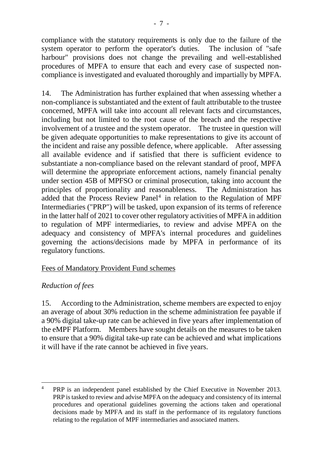compliance with the statutory requirements is only due to the failure of the system operator to perform the operator's duties. The inclusion of "safe harbour" provisions does not change the prevailing and well-established procedures of MPFA to ensure that each and every case of suspected noncompliance is investigated and evaluated thoroughly and impartially by MPFA.

14. The Administration has further explained that when assessing whether a non-compliance is substantiated and the extent of fault attributable to the trustee concerned, MPFA will take into account all relevant facts and circumstances, including but not limited to the root cause of the breach and the respective involvement of a trustee and the system operator. The trustee in question will be given adequate opportunities to make representations to give its account of the incident and raise any possible defence, where applicable. After assessing all available evidence and if satisfied that there is sufficient evidence to substantiate a non-compliance based on the relevant standard of proof, MPFA will determine the appropriate enforcement actions, namely financial penalty under section 45B of MPFSO or criminal prosecution, taking into account the principles of proportionality and reasonableness. The Administration has added that the Process Review Panel<sup>[4](#page-6-0)</sup> in relation to the Regulation of MPF Intermediaries ("PRP") will be tasked, upon expansion of its terms of reference in the latter half of 2021 to cover other regulatory activities of MPFA in addition to regulation of MPF intermediaries, to review and advise MPFA on the adequacy and consistency of MPFA's internal procedures and guidelines governing the actions/decisions made by MPFA in performance of its regulatory functions.

# Fees of Mandatory Provident Fund schemes

# *Reduction of fees*

15. According to the Administration, scheme members are expected to enjoy an average of about 30% reduction in the scheme administration fee payable if a 90% digital take-up rate can be achieved in five years after implementation of the eMPF Platform. Members have sought details on the measures to be taken to ensure that a 90% digital take-up rate can be achieved and what implications it will have if the rate cannot be achieved in five years.

<span id="page-6-0"></span><sup>&</sup>lt;sup>4</sup> PRP is an independent panel established by the Chief Executive in November 2013. PRP is tasked to review and advise MPFA on the adequacy and consistency of its internal procedures and operational guidelines governing the actions taken and operational decisions made by MPFA and its staff in the performance of its regulatory functions relating to the regulation of MPF intermediaries and associated matters.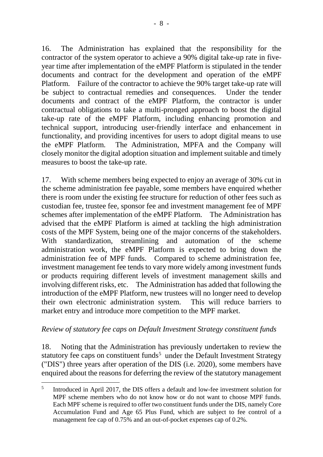16. The Administration has explained that the responsibility for the contractor of the system operator to achieve a 90% digital take-up rate in fiveyear time after implementation of the eMPF Platform is stipulated in the tender documents and contract for the development and operation of the eMPF Platform. Failure of the contractor to achieve the 90% target take-up rate will be subject to contractual remedies and consequences. Under the tender documents and contract of the eMPF Platform, the contractor is under contractual obligations to take a multi-pronged approach to boost the digital take-up rate of the eMPF Platform, including enhancing promotion and technical support, introducing user-friendly interface and enhancement in functionality, and providing incentives for users to adopt digital means to use the eMPF Platform. The Administration, MPFA and the Company will closely monitor the digital adoption situation and implement suitable and timely measures to boost the take-up rate.

17. With scheme members being expected to enjoy an average of 30% cut in the scheme administration fee payable, some members have enquired whether there is room under the existing fee structure for reduction of other fees such as custodian fee, trustee fee, sponsor fee and investment management fee of MPF schemes after implementation of the eMPF Platform. The Administration has advised that the eMPF Platform is aimed at tackling the high administration costs of the MPF System, being one of the major concerns of the stakeholders. With standardization, streamlining and automation of the scheme administration work, the eMPF Platform is expected to bring down the administration fee of MPF funds. Compared to scheme administration fee, investment management fee tends to vary more widely among investment funds or products requiring different levels of investment management skills and involving different risks, etc. The Administration has added that following the introduction of the eMPF Platform, new trustees will no longer need to develop their own electronic administration system. This will reduce barriers to market entry and introduce more competition to the MPF market.

# *Review of statutory fee caps on Default Investment Strategy constituent funds*

18. Noting that the Administration has previously undertaken to review the statutory fee caps on constituent funds<sup>[5](#page-7-0)</sup> under the Default Investment Strategy ("DIS") three years after operation of the DIS (i.e. 2020), some members have enquired about the reasons for deferring the review of the statutory management

<span id="page-7-0"></span><sup>&</sup>lt;sup>5</sup> Introduced in April 2017, the DIS offers a default and low-fee investment solution for MPF scheme members who do not know how or do not want to choose MPF funds. Each MPF scheme is required to offer two constituent funds under the DIS, namely Core Accumulation Fund and Age 65 Plus Fund, which are subject to fee control of a management fee cap of 0.75% and an out-of-pocket expenses cap of 0.2%.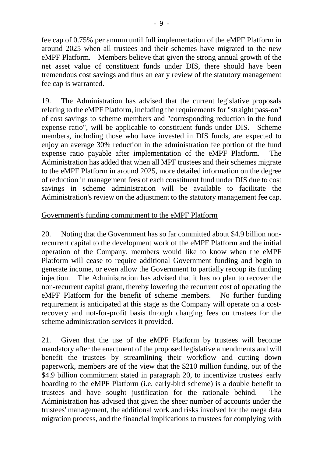fee cap of 0.75% per annum until full implementation of the eMPF Platform in around 2025 when all trustees and their schemes have migrated to the new eMPF Platform. Members believe that given the strong annual growth of the net asset value of constituent funds under DIS, there should have been tremendous cost savings and thus an early review of the statutory management fee cap is warranted.

19. The Administration has advised that the current legislative proposals relating to the eMPF Platform, including the requirements for "straight pass-on" of cost savings to scheme members and "corresponding reduction in the fund expense ratio", will be applicable to constituent funds under DIS. Scheme members, including those who have invested in DIS funds, are expected to enjoy an average 30% reduction in the administration fee portion of the fund expense ratio payable after implementation of the eMPF Platform. The Administration has added that when all MPF trustees and their schemes migrate to the eMPF Platform in around 2025, more detailed information on the degree of reduction in management fees of each constituent fund under DIS due to cost savings in scheme administration will be available to facilitate the Administration's review on the adjustment to the statutory management fee cap.

### Government's funding commitment to the eMPF Platform

20. Noting that the Government has so far committed about \$4.9 billion nonrecurrent capital to the development work of the eMPF Platform and the initial operation of the Company, members would like to know when the eMPF Platform will cease to require additional Government funding and begin to generate income, or even allow the Government to partially recoup its funding injection. The Administration has advised that it has no plan to recover the non-recurrent capital grant, thereby lowering the recurrent cost of operating the eMPF Platform for the benefit of scheme members. No further funding requirement is anticipated at this stage as the Company will operate on a costrecovery and not-for-profit basis through charging fees on trustees for the scheme administration services it provided.

21. Given that the use of the eMPF Platform by trustees will become mandatory after the enactment of the proposed legislative amendments and will benefit the trustees by streamlining their workflow and cutting down paperwork, members are of the view that the \$210 million funding, out of the \$4.9 billion commitment stated in paragraph 20, to incentivize trustees' early boarding to the eMPF Platform (i.e. early-bird scheme) is a double benefit to trustees and have sought justification for the rationale behind. The Administration has advised that given the sheer number of accounts under the trustees' management, the additional work and risks involved for the mega data migration process, and the financial implications to trustees for complying with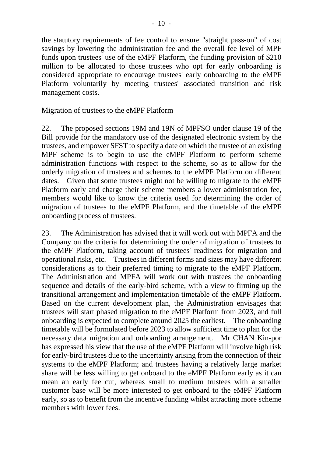the statutory requirements of fee control to ensure "straight pass-on" of cost savings by lowering the administration fee and the overall fee level of MPF funds upon trustees' use of the eMPF Platform, the funding provision of \$210 million to be allocated to those trustees who opt for early onboarding is considered appropriate to encourage trustees' early onboarding to the eMPF Platform voluntarily by meeting trustees' associated transition and risk management costs.

### Migration of trustees to the eMPF Platform

22. The proposed sections 19M and 19N of MPFSO under clause 19 of the Bill provide for the mandatory use of the designated electronic system by the trustees, and empower SFST to specify a date on which the trustee of an existing MPF scheme is to begin to use the eMPF Platform to perform scheme administration functions with respect to the scheme, so as to allow for the orderly migration of trustees and schemes to the eMPF Platform on different dates. Given that some trustees might not be willing to migrate to the eMPF Platform early and charge their scheme members a lower administration fee, members would like to know the criteria used for determining the order of migration of trustees to the eMPF Platform, and the timetable of the eMPF onboarding process of trustees.

23. The Administration has advised that it will work out with MPFA and the Company on the criteria for determining the order of migration of trustees to the eMPF Platform, taking account of trustees' readiness for migration and operational risks, etc. Trustees in different forms and sizes may have different considerations as to their preferred timing to migrate to the eMPF Platform. The Administration and MPFA will work out with trustees the onboarding sequence and details of the early-bird scheme, with a view to firming up the transitional arrangement and implementation timetable of the eMPF Platform. Based on the current development plan, the Administration envisages that trustees will start phased migration to the eMPF Platform from 2023, and full onboarding is expected to complete around 2025 the earliest. The onboarding timetable will be formulated before 2023 to allow sufficient time to plan for the necessary data migration and onboarding arrangement. Mr CHAN Kin-por has expressed his view that the use of the eMPF Platform will involve high risk for early-bird trustees due to the uncertainty arising from the connection of their systems to the eMPF Platform; and trustees having a relatively large market share will be less willing to get onboard to the eMPF Platform early as it can mean an early fee cut, whereas small to medium trustees with a smaller customer base will be more interested to get onboard to the eMPF Platform early, so as to benefit from the incentive funding whilst attracting more scheme members with lower fees.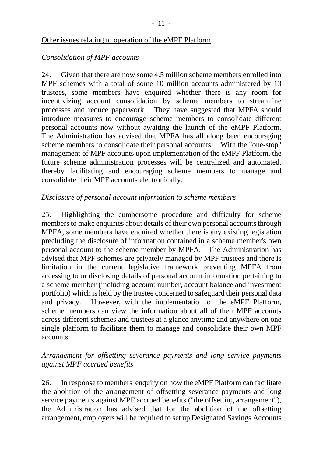#### Other issues relating to operation of the eMPF Platform

#### *Consolidation of MPF accounts*

24. Given that there are now some 4.5 million scheme members enrolled into MPF schemes with a total of some 10 million accounts administered by 13 trustees, some members have enquired whether there is any room for incentivizing account consolidation by scheme members to streamline processes and reduce paperwork. They have suggested that MPFA should introduce measures to encourage scheme members to consolidate different personal accounts now without awaiting the launch of the eMPF Platform. The Administration has advised that MPFA has all along been encouraging scheme members to consolidate their personal accounts. With the "one-stop" management of MPF accounts upon implementation of the eMPF Platform, the future scheme administration processes will be centralized and automated, thereby facilitating and encouraging scheme members to manage and consolidate their MPF accounts electronically.

### *Disclosure of personal account information to scheme members*

25. Highlighting the cumbersome procedure and difficulty for scheme members to make enquiries about details of their own personal accounts through MPFA, some members have enquired whether there is any existing legislation precluding the disclosure of information contained in a scheme member's own personal account to the scheme member by MPFA. The Administration has advised that MPF schemes are privately managed by MPF trustees and there is limitation in the current legislative framework preventing MPFA from accessing to or disclosing details of personal account information pertaining to a scheme member (including account number, account balance and investment portfolio) which is held by the trustee concerned to safeguard their personal data and privacy. However, with the implementation of the eMPF Platform, scheme members can view the information about all of their MPF accounts across different schemes and trustees at a glance anytime and anywhere on one single platform to facilitate them to manage and consolidate their own MPF accounts.

#### *Arrangement for offsetting severance payments and long service payments against MPF accrued benefits*

26. In response to members' enquiry on how the eMPF Platform can facilitate the abolition of the arrangement of offsetting severance payments and long service payments against MPF accrued benefits ("the offsetting arrangement"), the Administration has advised that for the abolition of the offsetting arrangement, employers will be required to set up Designated Savings Accounts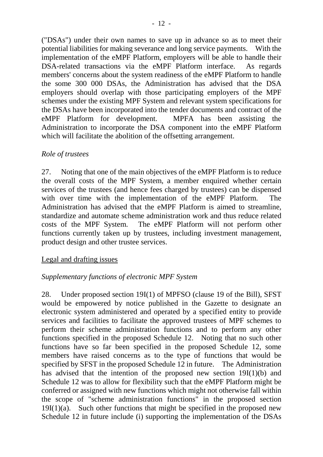("DSAs") under their own names to save up in advance so as to meet their potential liabilities for making severance and long service payments. With the implementation of the eMPF Platform, employers will be able to handle their DSA-related transactions via the eMPF Platform interface. As regards members' concerns about the system readiness of the eMPF Platform to handle the some 300 000 DSAs, the Administration has advised that the DSA employers should overlap with those participating employers of the MPF schemes under the existing MPF System and relevant system specifications for the DSAs have been incorporated into the tender documents and contract of the eMPF Platform for development. MPFA has been assisting the Administration to incorporate the DSA component into the eMPF Platform which will facilitate the abolition of the offsetting arrangement.

### *Role of trustees*

27. Noting that one of the main objectives of the eMPF Platform is to reduce the overall costs of the MPF System, a member enquired whether certain services of the trustees (and hence fees charged by trustees) can be dispensed with over time with the implementation of the eMPF Platform. The Administration has advised that the eMPF Platform is aimed to streamline, standardize and automate scheme administration work and thus reduce related costs of the MPF System. The eMPF Platform will not perform other functions currently taken up by trustees, including investment management, product design and other trustee services.

#### Legal and drafting issues

#### *Supplementary functions of electronic MPF System*

28. Under proposed section 19I(1) of MPFSO (clause 19 of the Bill), SFST would be empowered by notice published in the Gazette to designate an electronic system administered and operated by a specified entity to provide services and facilities to facilitate the approved trustees of MPF schemes to perform their scheme administration functions and to perform any other functions specified in the proposed Schedule 12. Noting that no such other functions have so far been specified in the proposed Schedule 12, some members have raised concerns as to the type of functions that would be specified by SFST in the proposed Schedule 12 in future. The Administration has advised that the intention of the proposed new section 19I(1)(b) and Schedule 12 was to allow for flexibility such that the eMPF Platform might be conferred or assigned with new functions which might not otherwise fall within the scope of "scheme administration functions" in the proposed section  $19I(1)(a)$ . Such other functions that might be specified in the proposed new Schedule 12 in future include (i) supporting the implementation of the DSAs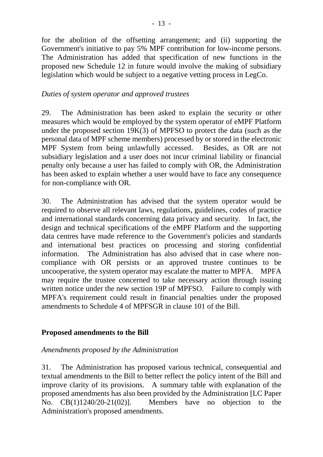for the abolition of the offsetting arrangement; and (ii) supporting the Government's initiative to pay 5% MPF contribution for low-income persons. The Administration has added that specification of new functions in the proposed new Schedule 12 in future would involve the making of subsidiary legislation which would be subject to a negative vetting process in LegCo.

# *Duties of system operator and approved trustees*

29. The Administration has been asked to explain the security or other measures which would be employed by the system operator of eMPF Platform under the proposed section 19K(3) of MPFSO to protect the data (such as the personal data of MPF scheme members) processed by or stored in the electronic MPF System from being unlawfully accessed. Besides, as OR are not subsidiary legislation and a user does not incur criminal liability or financial penalty only because a user has failed to comply with OR, the Administration has been asked to explain whether a user would have to face any consequence for non-compliance with OR.

30. The Administration has advised that the system operator would be required to observe all relevant laws, regulations, guidelines, codes of practice and international standards concerning data privacy and security. In fact, the design and technical specifications of the eMPF Platform and the supporting data centres have made reference to the Government's policies and standards and international best practices on processing and storing confidential information. The Administration has also advised that in case where noncompliance with OR persists or an approved trustee continues to be uncooperative, the system operator may escalate the matter to MPFA. MPFA may require the trustee concerned to take necessary action through issuing written notice under the new section 19P of MPFSO. Failure to comply with MPFA's requirement could result in financial penalties under the proposed amendments to Schedule 4 of MPFSGR in clause 101 of the Bill.

# **Proposed amendments to the Bill**

# *Amendments proposed by the Administration*

31. The Administration has proposed various technical, consequential and textual amendments to the Bill to better reflect the policy intent of the Bill and improve clarity of its provisions. A summary table with explanation of the proposed amendments has also been provided by the Administration [LC Paper No. CB(1)1240/20-21(02)]. Members have no objection to the Administration's proposed amendments.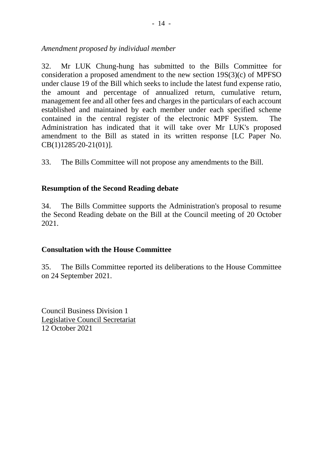*Amendment proposed by individual member*

32. Mr LUK Chung-hung has submitted to the Bills Committee for consideration a proposed amendment to the new section 19S(3)(c) of MPFSO under clause 19 of the Bill which seeks to include the latest fund expense ratio, the amount and percentage of annualized return, cumulative return, management fee and all other fees and charges in the particulars of each account established and maintained by each member under each specified scheme contained in the central register of the electronic MPF System. The Administration has indicated that it will take over Mr LUK's proposed amendment to the Bill as stated in its written response [LC Paper No. CB(1)1285/20-21(01)].

33. The Bills Committee will not propose any amendments to the Bill.

### **Resumption of the Second Reading debate**

34. The Bills Committee supports the Administration's proposal to resume the Second Reading debate on the Bill at the Council meeting of 20 October 2021.

#### **Consultation with the House Committee**

35. The Bills Committee reported its deliberations to the House Committee on 24 September 2021.

Council Business Division 1 Legislative Council Secretariat 12 October 2021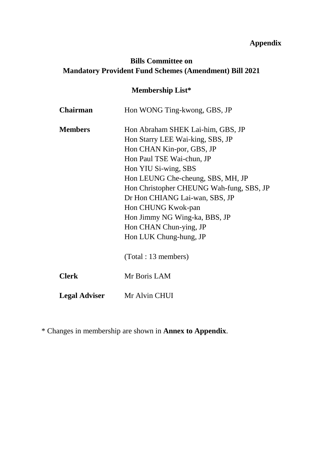# **Appendix**

# **Bills Committee on Mandatory Provident Fund Schemes (Amendment) Bill 2021**

# **Membership List\***

| <b>Chairman</b>      | Hon WONG Ting-kwong, GBS, JP             |
|----------------------|------------------------------------------|
| <b>Members</b>       | Hon Abraham SHEK Lai-him, GBS, JP        |
|                      | Hon Starry LEE Wai-king, SBS, JP         |
|                      | Hon CHAN Kin-por, GBS, JP                |
|                      | Hon Paul TSE Wai-chun, JP                |
|                      | Hon YIU Si-wing, SBS                     |
|                      | Hon LEUNG Che-cheung, SBS, MH, JP        |
|                      | Hon Christopher CHEUNG Wah-fung, SBS, JP |
|                      | Dr Hon CHIANG Lai-wan, SBS, JP           |
|                      | Hon CHUNG Kwok-pan                       |
|                      | Hon Jimmy NG Wing-ka, BBS, JP            |
|                      | Hon CHAN Chun-ying, JP                   |
|                      | Hon LUK Chung-hung, JP                   |
|                      | (Total : 13 members)                     |
| <b>Clerk</b>         | Mr Boris LAM                             |
| <b>Legal Adviser</b> | Mr Alvin CHUI                            |

\* Changes in membership are shown in **Annex to Appendix**.